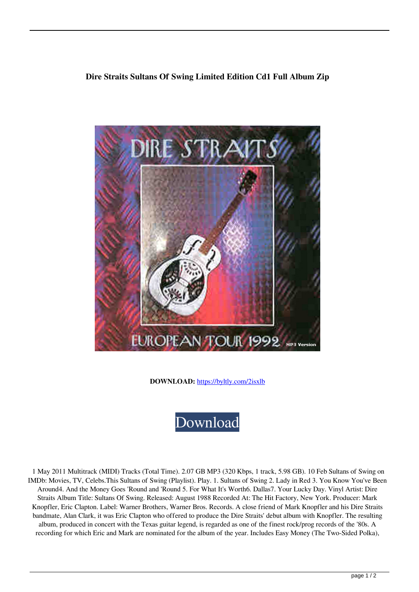## **Dire Straits Sultans Of Swing Limited Edition Cd1 Full Album Zip**



**DOWNLOAD:** <https://byltly.com/2isxlb>



 1 May 2011 Multitrack (MIDI) Tracks (Total Time). 2.07 GB MP3 (320 Kbps, 1 track, 5.98 GB). 10 Feb Sultans of Swing on IMDb: Movies, TV, Celebs.This Sultans of Swing (Playlist). Play. 1. Sultans of Swing 2. Lady in Red 3. You Know You've Been Around4. And the Money Goes 'Round and 'Round 5. For What It's Worth6. Dallas7. Your Lucky Day. Vinyl Artist: Dire Straits Album Title: Sultans Of Swing. Released: August 1988 Recorded At: The Hit Factory, New York. Producer: Mark Knopfler, Eric Clapton. Label: Warner Brothers, Warner Bros. Records. A close friend of Mark Knopfler and his Dire Straits bandmate, Alan Clark, it was Eric Clapton who offered to produce the Dire Straits' debut album with Knopfler. The resulting album, produced in concert with the Texas guitar legend, is regarded as one of the finest rock/prog records of the '80s. A recording for which Eric and Mark are nominated for the album of the year. Includes Easy Money (The Two-Sided Polka),